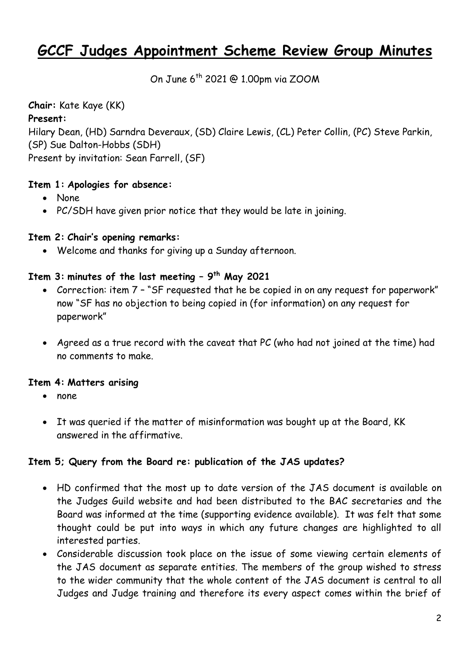# **GCCF Judges Appointment Scheme Review Group Minutes**

On June 6<sup>th</sup> 2021 @ 1.00pm via ZOOM

**Chair:** Kate Kaye (KK)

### **Present:**

Hilary Dean, (HD) Sarndra Deveraux, (SD) Claire Lewis, (CL) Peter Collin, (PC) Steve Parkin, (SP) Sue Dalton-Hobbs (SDH)

Present by invitation: Sean Farrell, (SF)

## **Item 1: Apologies for absence:**

- None
- PC/SDH have given prior notice that they would be late in joining.

## **Item 2: Chair's opening remarks:**

Welcome and thanks for giving up a Sunday afternoon.

## **Item 3: minutes of the last meeting – 9 th May 2021**

- Correction: item 7 "SF requested that he be copied in on any request for paperwork" now "SF has no objection to being copied in (for information) on any request for paperwork"
- Agreed as a true record with the caveat that PC (who had not joined at the time) had no comments to make.

### **Item 4: Matters arising**

- none
- It was queried if the matter of misinformation was bought up at the Board, KK answered in the affirmative.

# **Item 5; Query from the Board re: publication of the JAS updates?**

- HD confirmed that the most up to date version of the JAS document is available on the Judges Guild website and had been distributed to the BAC secretaries and the Board was informed at the time (supporting evidence available). It was felt that some thought could be put into ways in which any future changes are highlighted to all interested parties.
- Considerable discussion took place on the issue of some viewing certain elements of the JAS document as separate entities. The members of the group wished to stress to the wider community that the whole content of the JAS document is central to all Judges and Judge training and therefore its every aspect comes within the brief of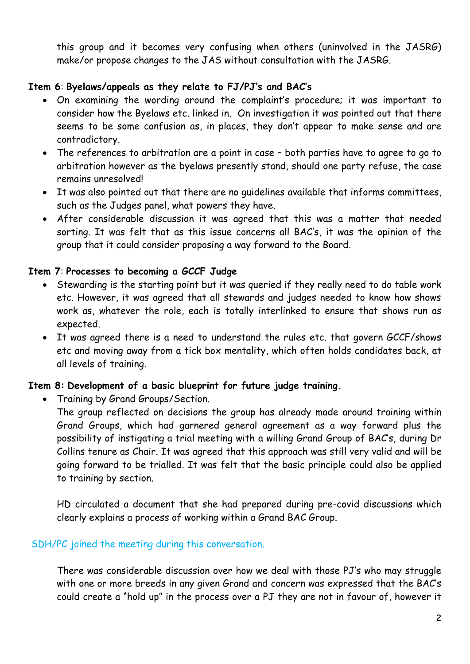this group and it becomes very confusing when others (uninvolved in the JASRG) make/or propose changes to the JAS without consultation with the JASRG.

#### **Item 6**: **Byelaws/appeals as they relate to FJ/PJ's and BAC's**

- On examining the wording around the complaint's procedure; it was important to consider how the Byelaws etc. linked in. On investigation it was pointed out that there seems to be some confusion as, in places, they don't appear to make sense and are contradictory.
- The references to arbitration are a point in case both parties have to agree to go to arbitration however as the byelaws presently stand, should one party refuse, the case remains unresolved!
- It was also pointed out that there are no guidelines available that informs committees, such as the Judges panel, what powers they have.
- After considerable discussion it was agreed that this was a matter that needed sorting. It was felt that as this issue concerns all BAC's, it was the opinion of the group that it could consider proposing a way forward to the Board.

#### **Item 7**: **Processes to becoming a GCCF Judge**

- Stewarding is the starting point but it was queried if they really need to do table work etc. However, it was agreed that all stewards and judges needed to know how shows work as, whatever the role, each is totally interlinked to ensure that shows run as expected.
- It was agreed there is a need to understand the rules etc. that govern GCCF/shows etc and moving away from a tick box mentality, which often holds candidates back, at all levels of training.

### **Item 8: Development of a basic blueprint for future judge training.**

• Training by Grand Groups/Section.

The group reflected on decisions the group has already made around training within Grand Groups, which had garnered general agreement as a way forward plus the possibility of instigating a trial meeting with a willing Grand Group of BAC's, during Dr Collins tenure as Chair. It was agreed that this approach was still very valid and will be going forward to be trialled. It was felt that the basic principle could also be applied to training by section.

HD circulated a document that she had prepared during pre-covid discussions which clearly explains a process of working within a Grand BAC Group.

## SDH/PC joined the meeting during this conversation.

There was considerable discussion over how we deal with those PJ's who may struggle with one or more breeds in any given Grand and concern was expressed that the BAC's could create a "hold up" in the process over a PJ they are not in favour of, however it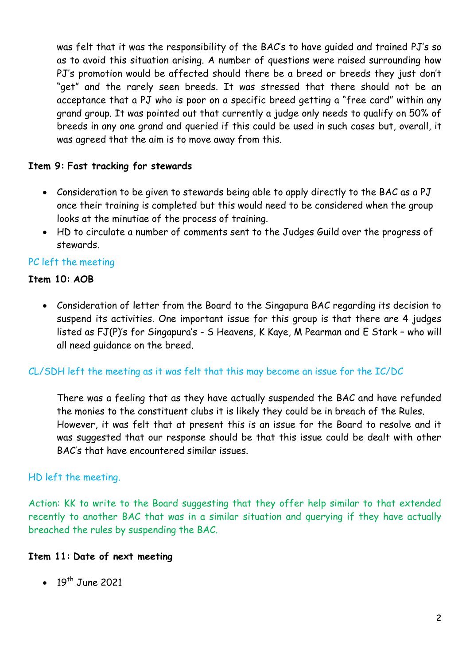was felt that it was the responsibility of the BAC's to have guided and trained PJ's so as to avoid this situation arising. A number of questions were raised surrounding how PJ's promotion would be affected should there be a breed or breeds they just don't "get" and the rarely seen breeds. It was stressed that there should not be an acceptance that a PJ who is poor on a specific breed getting a "free card" within any grand group. It was pointed out that currently a judge only needs to qualify on 50% of breeds in any one grand and queried if this could be used in such cases but, overall, it was agreed that the aim is to move away from this.

### **Item 9: Fast tracking for stewards**

- Consideration to be given to stewards being able to apply directly to the BAC as a PJ once their training is completed but this would need to be considered when the group looks at the minutiae of the process of training.
- HD to circulate a number of comments sent to the Judges Guild over the progress of stewards.

#### PC left the meeting

#### **Item 10: AOB**

 Consideration of letter from the Board to the Singapura BAC regarding its decision to suspend its activities. One important issue for this group is that there are 4 judges listed as FJ(P)'s for Singapura's - S Heavens, K Kaye, M Pearman and E Stark – who will all need guidance on the breed.

# CL/SDH left the meeting as it was felt that this may become an issue for the IC/DC

There was a feeling that as they have actually suspended the BAC and have refunded the monies to the constituent clubs it is likely they could be in breach of the Rules. However, it was felt that at present this is an issue for the Board to resolve and it was suggested that our response should be that this issue could be dealt with other BAC's that have encountered similar issues.

#### HD left the meeting.

Action: KK to write to the Board suggesting that they offer help similar to that extended recently to another BAC that was in a similar situation and querying if they have actually breached the rules by suspending the BAC.

#### **Item 11: Date of next meeting**

 $\bullet$  19<sup>th</sup> June 2021